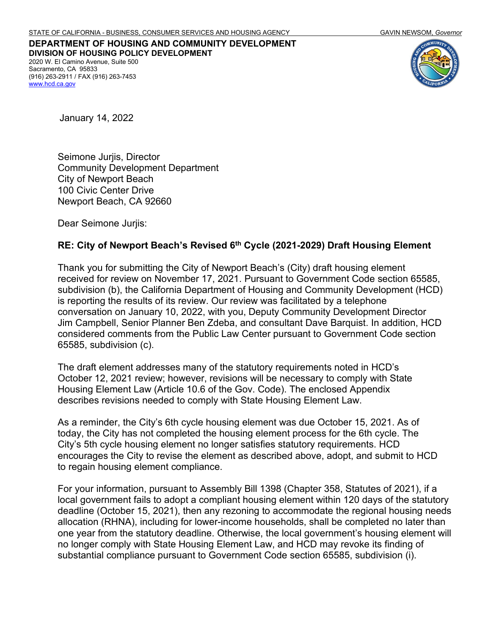**DEPARTMENT OF HOUSING AND COMMUNITY DEVELOPMENT DIVISION OF HOUSING POLICY DEVELOPMENT** 2020 W. El Camino Avenue, Suite 500 Sacramento, CA 95833 (916) 263-2911 / FAX (916) 263-7453 [www.hcd.ca.gov](http://www.hcd.ca.gov/)



January 14, 2022

Seimone Jurjis, Director Community Development Department City of Newport Beach 100 Civic Center Drive Newport Beach, CA 92660

Dear Seimone Jurjis:

### **RE: City of Newport Beach's Revised 6th Cycle (2021-2029) Draft Housing Element**

Thank you for submitting the City of Newport Beach's (City) draft housing element received for review on November 17, 2021. Pursuant to Government Code section 65585, subdivision (b), the California Department of Housing and Community Development (HCD) is reporting the results of its review. Our review was facilitated by a telephone conversation on January 10, 2022, with you, Deputy Community Development Director Jim Campbell, Senior Planner Ben Zdeba, and consultant Dave Barquist. In addition, HCD considered comments from the Public Law Center pursuant to Government Code section 65585, subdivision (c).

The draft element addresses many of the statutory requirements noted in HCD's October 12, 2021 review; however, revisions will be necessary to comply with State Housing Element Law (Article 10.6 of the Gov. Code). The enclosed Appendix describes revisions needed to comply with State Housing Element Law.

As a reminder, the City's 6th cycle housing element was due October 15, 2021. As of today, the City has not completed the housing element process for the 6th cycle. The City's 5th cycle housing element no longer satisfies statutory requirements. HCD encourages the City to revise the element as described above, adopt, and submit to HCD to regain housing element compliance.

For your information, pursuant to Assembly Bill 1398 (Chapter 358, Statutes of 2021), if a local government fails to adopt a compliant housing element within 120 days of the statutory deadline (October 15, 2021), then any rezoning to accommodate the regional housing needs allocation (RHNA), including for lower-income households, shall be completed no later than one year from the statutory deadline. Otherwise, the local government's housing element will no longer comply with State Housing Element Law, and HCD may revoke its finding of substantial compliance pursuant to Government Code section 65585, subdivision (i).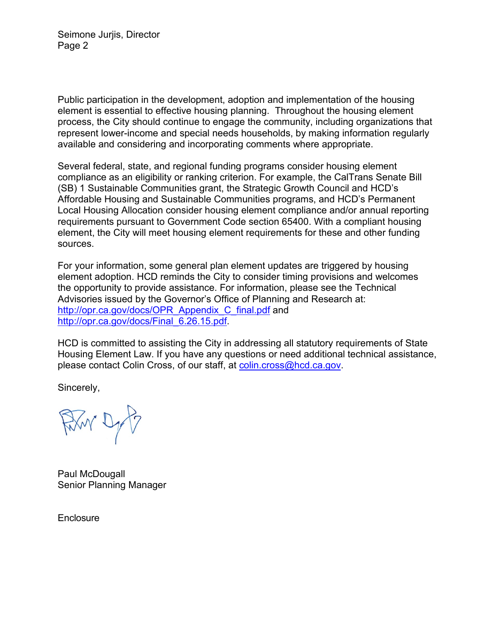Seimone Jurjis, Director Page 2

Public participation in the development, adoption and implementation of the housing element is essential to effective housing planning. Throughout the housing element process, the City should continue to engage the community, including organizations that represent lower-income and special needs households, by making information regularly available and considering and incorporating comments where appropriate.

Several federal, state, and regional funding programs consider housing element compliance as an eligibility or ranking criterion. For example, the CalTrans Senate Bill (SB) 1 Sustainable Communities grant, the Strategic Growth Council and HCD's Affordable Housing and Sustainable Communities programs, and HCD's Permanent Local Housing Allocation consider housing element compliance and/or annual reporting requirements pursuant to Government Code section 65400. With a compliant housing element, the City will meet housing element requirements for these and other funding sources.

For your information, some general plan element updates are triggered by housing element adoption. HCD reminds the City to consider timing provisions and welcomes the opportunity to provide assistance. For information, please see the Technical Advisories issued by the Governor's Office of Planning and Research at: [http://opr.ca.gov/docs/OPR\\_Appendix\\_C\\_final.pdf](http://opr.ca.gov/docs/OPR_Appendix_C_final.pdf) and [http://opr.ca.gov/docs/Final\\_6.26.15.pdf.](http://opr.ca.gov/docs/Final_6.26.15.pdf)

HCD is committed to assisting the City in addressing all statutory requirements of State Housing Element Law. If you have any questions or need additional technical assistance, please contact Colin Cross, of our staff, at [colin.cross@hcd.ca.gov.](mailto:colin.cross@hcd.ca.gov)

Sincerely,

Film Dy B

Paul McDougall Senior Planning Manager

**Enclosure**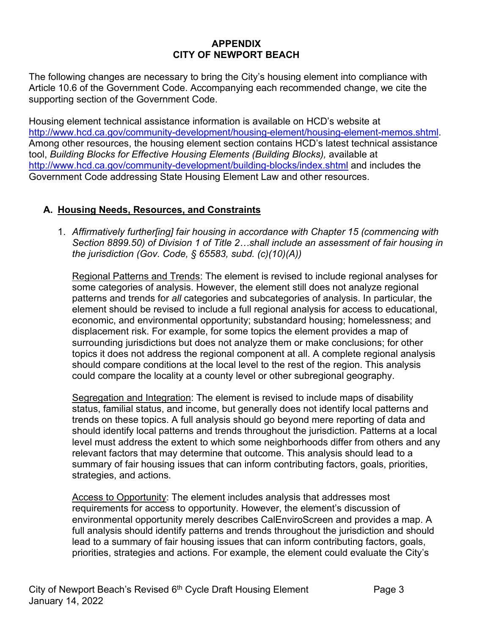### **APPENDIX CITY OF NEWPORT BEACH**

The following changes are necessary to bring the City's housing element into compliance with Article 10.6 of the Government Code. Accompanying each recommended change, we cite the supporting section of the Government Code.

Housing element technical assistance information is available on HCD's website at [http://www.hcd.ca.gov/community-development/housing-element/housing-element-memos.shtml.](http://www.hcd.ca.gov/community-development/housing-element/housing-element-memos.shtml) Among other resources, the housing element section contains HCD's latest technical assistance tool, *Building Blocks for Effective Housing Elements (Building Blocks)*, available at <http://www.hcd.ca.gov/community-development/building-blocks/index.shtml> and includes the Government Code addressing State Housing Element Law and other resources.

# **A. Housing Needs, Resources, and Constraints**

1. *Affirmatively further[ing] fair housing in accordance with Chapter 15 (commencing with Section 8899.50) of Division 1 of Title 2…shall include an assessment of fair housing in the jurisdiction (Gov. Code, § 65583, subd. (c)(10)(A))*

Regional Patterns and Trends: The element is revised to include regional analyses for some categories of analysis. However, the element still does not analyze regional patterns and trends for *all* categories and subcategories of analysis. In particular, the element should be revised to include a full regional analysis for access to educational, economic, and environmental opportunity; substandard housing; homelessness; and displacement risk. For example, for some topics the element provides a map of surrounding jurisdictions but does not analyze them or make conclusions; for other topics it does not address the regional component at all. A complete regional analysis should compare conditions at the local level to the rest of the region. This analysis could compare the locality at a county level or other subregional geography.

Segregation and Integration: The element is revised to include maps of disability status, familial status, and income, but generally does not identify local patterns and trends on these topics. A full analysis should go beyond mere reporting of data and should identify local patterns and trends throughout the jurisdiction. Patterns at a local level must address the extent to which some neighborhoods differ from others and any relevant factors that may determine that outcome. This analysis should lead to a summary of fair housing issues that can inform contributing factors, goals, priorities, strategies, and actions.

Access to Opportunity: The element includes analysis that addresses most requirements for access to opportunity. However, the element's discussion of environmental opportunity merely describes CalEnviroScreen and provides a map. A full analysis should identify patterns and trends throughout the jurisdiction and should lead to a summary of fair housing issues that can inform contributing factors, goals, priorities, strategies and actions. For example, the element could evaluate the City's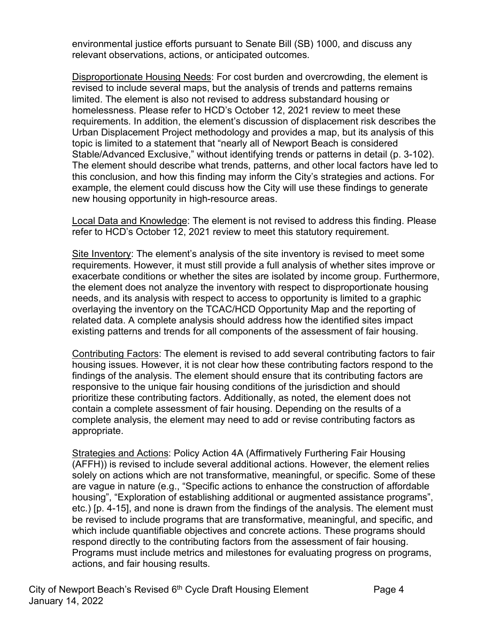environmental justice efforts pursuant to Senate Bill (SB) 1000, and discuss any relevant observations, actions, or anticipated outcomes.

Disproportionate Housing Needs: For cost burden and overcrowding, the element is revised to include several maps, but the analysis of trends and patterns remains limited. The element is also not revised to address substandard housing or homelessness. Please refer to HCD's October 12, 2021 review to meet these requirements. In addition, the element's discussion of displacement risk describes the Urban Displacement Project methodology and provides a map, but its analysis of this topic is limited to a statement that "nearly all of Newport Beach is considered Stable/Advanced Exclusive," without identifying trends or patterns in detail (p. 3-102). The element should describe what trends, patterns, and other local factors have led to this conclusion, and how this finding may inform the City's strategies and actions. For example, the element could discuss how the City will use these findings to generate new housing opportunity in high-resource areas.

Local Data and Knowledge: The element is not revised to address this finding. Please refer to HCD's October 12, 2021 review to meet this statutory requirement.

Site Inventory: The element's analysis of the site inventory is revised to meet some requirements. However, it must still provide a full analysis of whether sites improve or exacerbate conditions or whether the sites are isolated by income group. Furthermore, the element does not analyze the inventory with respect to disproportionate housing needs, and its analysis with respect to access to opportunity is limited to a graphic overlaying the inventory on the TCAC/HCD Opportunity Map and the reporting of related data. A complete analysis should address how the identified sites impact existing patterns and trends for all components of the assessment of fair housing.

Contributing Factors: The element is revised to add several contributing factors to fair housing issues. However, it is not clear how these contributing factors respond to the findings of the analysis. The element should ensure that its contributing factors are responsive to the unique fair housing conditions of the jurisdiction and should prioritize these contributing factors. Additionally, as noted, the element does not contain a complete assessment of fair housing. Depending on the results of a complete analysis, the element may need to add or revise contributing factors as appropriate.

Strategies and Actions: Policy Action 4A (Affirmatively Furthering Fair Housing (AFFH)) is revised to include several additional actions. However, the element relies solely on actions which are not transformative, meaningful, or specific. Some of these are vague in nature (e.g., "Specific actions to enhance the construction of affordable housing", "Exploration of establishing additional or augmented assistance programs", etc.) [p. 4-15], and none is drawn from the findings of the analysis. The element must be revised to include programs that are transformative, meaningful, and specific, and which include quantifiable objectives and concrete actions. These programs should respond directly to the contributing factors from the assessment of fair housing. Programs must include metrics and milestones for evaluating progress on programs, actions, and fair housing results.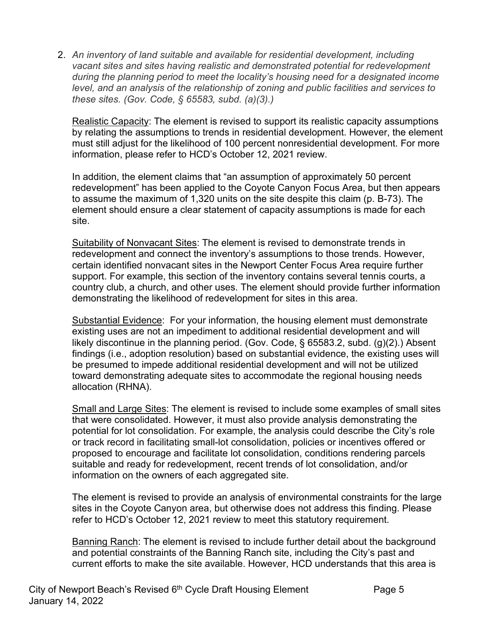2. *An inventory of land suitable and available for residential development, including vacant sites and sites having realistic and demonstrated potential for redevelopment during the planning period to meet the locality's housing need for a designated income level, and an analysis of the relationship of zoning and public facilities and services to these sites. (Gov. Code, § 65583, subd. (a)(3).)*

Realistic Capacity: The element is revised to support its realistic capacity assumptions by relating the assumptions to trends in residential development. However, the element must still adjust for the likelihood of 100 percent nonresidential development. For more information, please refer to HCD's October 12, 2021 review.

In addition, the element claims that "an assumption of approximately 50 percent redevelopment" has been applied to the Coyote Canyon Focus Area, but then appears to assume the maximum of 1,320 units on the site despite this claim (p. B-73). The element should ensure a clear statement of capacity assumptions is made for each site.

Suitability of Nonvacant Sites: The element is revised to demonstrate trends in redevelopment and connect the inventory's assumptions to those trends. However, certain identified nonvacant sites in the Newport Center Focus Area require further support. For example, this section of the inventory contains several tennis courts, a country club, a church, and other uses. The element should provide further information demonstrating the likelihood of redevelopment for sites in this area.

Substantial Evidence: For your information, the housing element must demonstrate existing uses are not an impediment to additional residential development and will likely discontinue in the planning period. (Gov. Code, § 65583.2, subd. (g)(2).) Absent findings (i.e., adoption resolution) based on substantial evidence, the existing uses will be presumed to impede additional residential development and will not be utilized toward demonstrating adequate sites to accommodate the regional housing needs allocation (RHNA).

Small and Large Sites: The element is revised to include some examples of small sites that were consolidated. However, it must also provide analysis demonstrating the potential for lot consolidation. For example, the analysis could describe the City's role or track record in facilitating small-lot consolidation, policies or incentives offered or proposed to encourage and facilitate lot consolidation, conditions rendering parcels suitable and ready for redevelopment, recent trends of lot consolidation, and/or information on the owners of each aggregated site.

The element is revised to provide an analysis of environmental constraints for the large sites in the Coyote Canyon area, but otherwise does not address this finding. Please refer to HCD's October 12, 2021 review to meet this statutory requirement.

Banning Ranch: The element is revised to include further detail about the background and potential constraints of the Banning Ranch site, including the City's past and current efforts to make the site available. However, HCD understands that this area is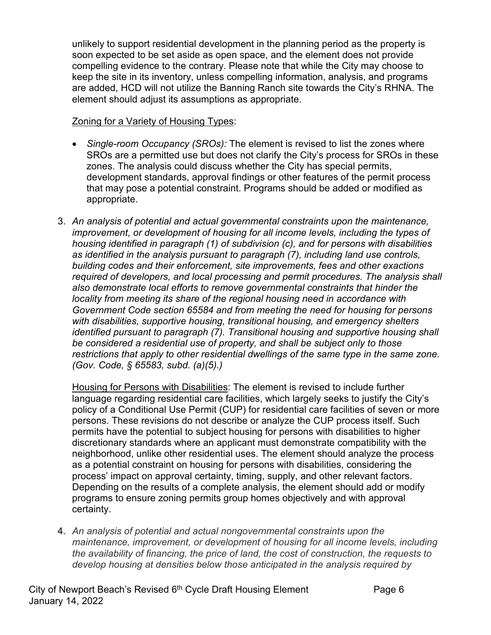unlikely to support residential development in the planning period as the property is soon expected to be set aside as open space, and the element does not provide compelling evidence to the contrary. Please note that while the City may choose to keep the site in its inventory, unless compelling information, analysis, and programs are added, HCD will not utilize the Banning Ranch site towards the City's RHNA. The element should adjust its assumptions as appropriate.

### Zoning for a Variety of Housing Types:

- *Single-room Occupancy (SROs):* The element is revised to list the zones where SROs are a permitted use but does not clarify the City's process for SROs in these zones. The analysis could discuss whether the City has special permits, development standards, approval findings or other features of the permit process that may pose a potential constraint. Programs should be added or modified as appropriate.
- 3. *An analysis of potential and actual governmental constraints upon the maintenance, improvement, or development of housing for all income levels, including the types of housing identified in paragraph (1) of subdivision (c), and for persons with disabilities as identified in the analysis pursuant to paragraph (7), including land use controls, building codes and their enforcement, site improvements, fees and other exactions required of developers, and local processing and permit procedures. The analysis shall also demonstrate local efforts to remove governmental constraints that hinder the locality from meeting its share of the regional housing need in accordance with Government Code section 65584 and from meeting the need for housing for persons with disabilities, supportive housing, transitional housing, and emergency shelters identified pursuant to paragraph (7). Transitional housing and supportive housing shall be considered a residential use of property, and shall be subject only to those restrictions that apply to other residential dwellings of the same type in the same zone. (Gov. Code, § 65583, subd. (a)(5).)*

Housing for Persons with Disabilities: The element is revised to include further language regarding residential care facilities, which largely seeks to justify the City's policy of a Conditional Use Permit (CUP) for residential care facilities of seven or more persons. These revisions do not describe or analyze the CUP process itself. Such permits have the potential to subject housing for persons with disabilities to higher discretionary standards where an applicant must demonstrate compatibility with the neighborhood, unlike other residential uses. The element should analyze the process as a potential constraint on housing for persons with disabilities, considering the process' impact on approval certainty, timing, supply, and other relevant factors. Depending on the results of a complete analysis, the element should add or modify programs to ensure zoning permits group homes objectively and with approval certainty.

4. *An analysis of potential and actual nongovernmental constraints upon the maintenance, improvement, or development of housing for all income levels, including the availability of financing, the price of land, the cost of construction, the requests to develop housing at densities below those anticipated in the analysis required by*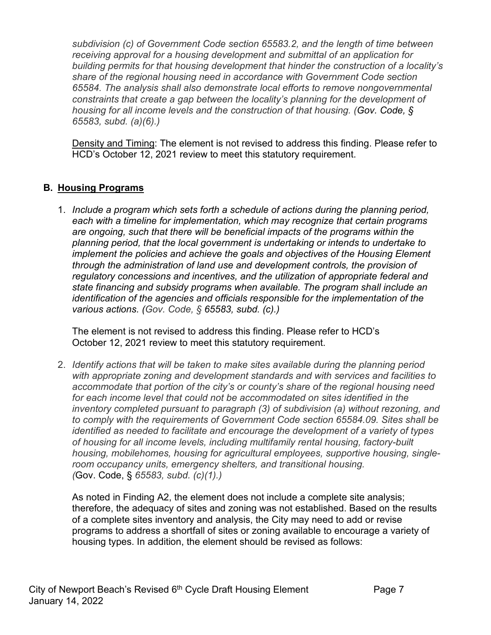*subdivision (c) of Government Code section 65583.2, and the length of time between receiving approval for a housing development and submittal of an application for building permits for that housing development that hinder the construction of a locality's share of the regional housing need in accordance with Government Code section 65584. The analysis shall also demonstrate local efforts to remove nongovernmental constraints that create a gap between the locality's planning for the development of housing for all income levels and the construction of that housing. (Gov. Code, § 65583, subd. (a)(6).)*

Density and Timing: The element is not revised to address this finding. Please refer to HCD's October 12, 2021 review to meet this statutory requirement.

### **B. Housing Programs**

1. *Include a program which sets forth a schedule of actions during the planning period, each with a timeline for implementation, which may recognize that certain programs are ongoing, such that there will be beneficial impacts of the programs within the planning period, that the local government is undertaking or intends to undertake to implement the policies and achieve the goals and objectives of the Housing Element through the administration of land use and development controls, the provision of regulatory concessions and incentives, and the utilization of appropriate federal and state financing and subsidy programs when available. The program shall include an identification of the agencies and officials responsible for the implementation of the various actions. (Gov. Code, § 65583, subd. (c).)*

The element is not revised to address this finding. Please refer to HCD's October 12, 2021 review to meet this statutory requirement.

2. *Identify actions that will be taken to make sites available during the planning period with appropriate zoning and development standards and with services and facilities to accommodate that portion of the city's or county's share of the regional housing need*  for each income level that could not be accommodated on sites identified in the *inventory completed pursuant to paragraph (3) of subdivision (a) without rezoning, and to comply with the requirements of Government Code section 65584.09. Sites shall be identified as needed to facilitate and encourage the development of a variety of types of housing for all income levels, including multifamily rental housing, factory-built housing, mobilehomes, housing for agricultural employees, supportive housing, singleroom occupancy units, emergency shelters, and transitional housing. (*Gov. Code, § *65583, subd. (c)(1).)*

As noted in Finding A2, the element does not include a complete site analysis; therefore, the adequacy of sites and zoning was not established. Based on the results of a complete sites inventory and analysis, the City may need to add or revise programs to address a shortfall of sites or zoning available to encourage a variety of housing types. In addition, the element should be revised as follows: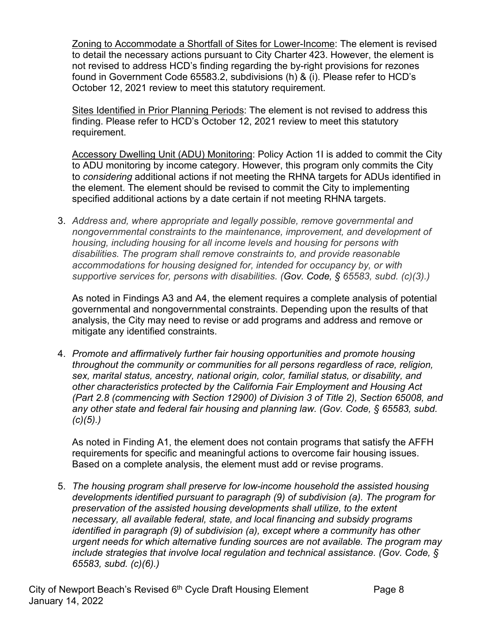Zoning to Accommodate a Shortfall of Sites for Lower-Income: The element is revised to detail the necessary actions pursuant to City Charter 423. However, the element is not revised to address HCD's finding regarding the by-right provisions for rezones found in Government Code 65583.2, subdivisions (h) & (i). Please refer to HCD's October 12, 2021 review to meet this statutory requirement.

Sites Identified in Prior Planning Periods: The element is not revised to address this finding. Please refer to HCD's October 12, 2021 review to meet this statutory requirement.

Accessory Dwelling Unit (ADU) Monitoring: Policy Action 1I is added to commit the City to ADU monitoring by income category. However, this program only commits the City to *considering* additional actions if not meeting the RHNA targets for ADUs identified in the element. The element should be revised to commit the City to implementing specified additional actions by a date certain if not meeting RHNA targets.

3. *Address and, where appropriate and legally possible, remove governmental and nongovernmental constraints to the maintenance, improvement, and development of housing, including housing for all income levels and housing for persons with disabilities. The program shall remove constraints to, and provide reasonable accommodations for housing designed for, intended for occupancy by, or with supportive services for, persons with disabilities. (Gov. Code, § 65583, subd. (c)(3).)*

As noted in Findings A3 and A4, the element requires a complete analysis of potential governmental and nongovernmental constraints. Depending upon the results of that analysis, the City may need to revise or add programs and address and remove or mitigate any identified constraints.

4. *Promote and affirmatively further fair housing opportunities and promote housing throughout the community or communities for all persons regardless of race, religion, sex, marital status, ancestry, national origin, color, familial status, or disability, and other characteristics protected by the California Fair Employment and Housing Act (Part 2.8 (commencing with Section 12900) of Division 3 of Title 2), Section 65008, and any other state and federal fair housing and planning law. (Gov. Code, § 65583, subd. (c)(5).)*

As noted in Finding A1, the element does not contain programs that satisfy the AFFH requirements for specific and meaningful actions to overcome fair housing issues. Based on a complete analysis, the element must add or revise programs.

5. *The housing program shall preserve for low-income household the assisted housing developments identified pursuant to paragraph (9) of subdivision (a). The program for preservation of the assisted housing developments shall utilize, to the extent necessary, all available federal, state, and local financing and subsidy programs identified in paragraph (9) of subdivision (a), except where a community has other urgent needs for which alternative funding sources are not available. The program may include strategies that involve local regulation and technical assistance. (Gov. Code, § 65583, subd. (c)(6).)*